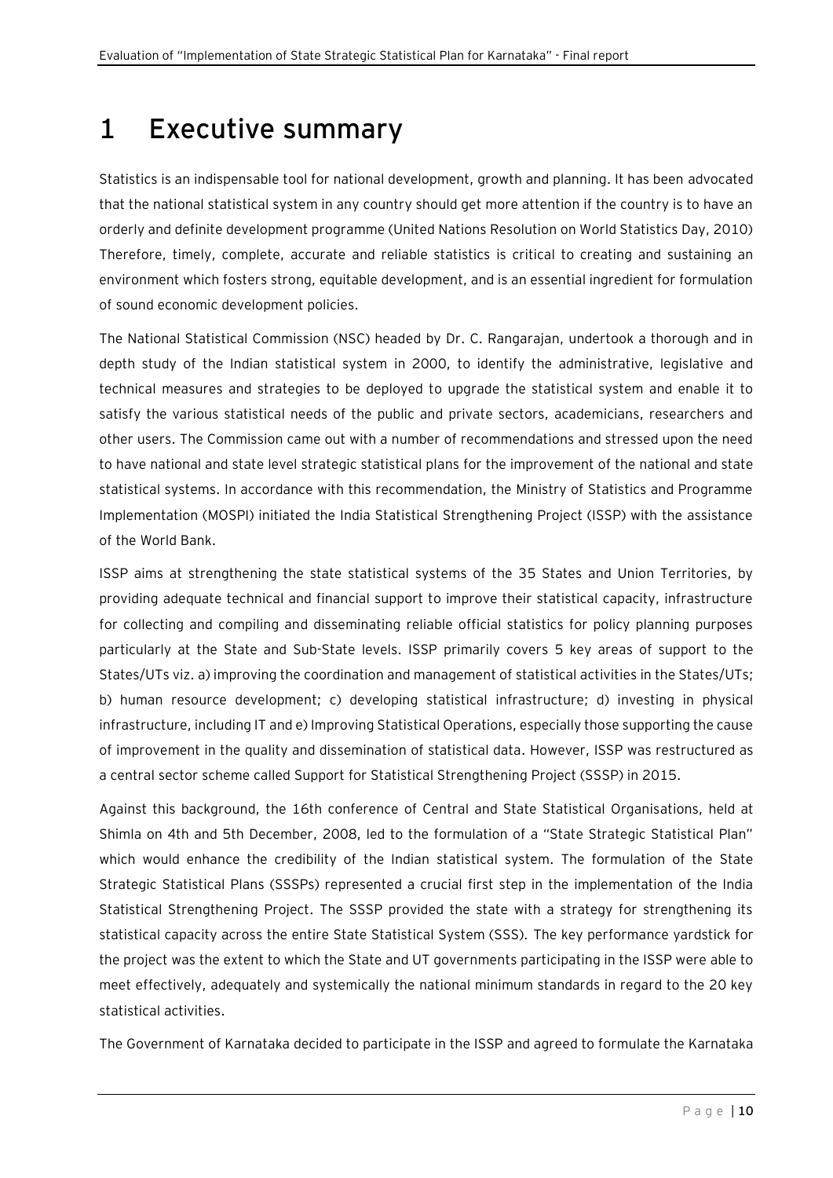## **1 Executive summary**

Statistics is an indispensable tool for national development, growth and planning. It has been advocated that the national statistical system in any country should get more attention if the country is to have an orderly and definite development programme (United Nations Resolution on World Statistics Day, 2010) Therefore, timely, complete, accurate and reliable statistics is critical to creating and sustaining an environment which fosters strong, equitable development, and is an essential ingredient for formulation of sound economic development policies.

The National Statistical Commission (NSC) headed by Dr. C. Rangarajan, undertook a thorough and in depth study of the Indian statistical system in 2000, to identify the administrative, legislative and technical measures and strategies to be deployed to upgrade the statistical system and enable it to satisfy the various statistical needs of the public and private sectors, academicians, researchers and other users. The Commission came out with a number of recommendations and stressed upon the need to have national and state level strategic statistical plans for the improvement of the national and state statistical systems. In accordance with this recommendation, the Ministry of Statistics and Programme Implementation (MOSPI) initiated the India Statistical Strengthening Project (ISSP) with the assistance of the World Bank.

ISSP aims at strengthening the state statistical systems of the 35 States and Union Territories, by providing adequate technical and financial support to improve their statistical capacity, infrastructure for collecting and compiling and disseminating reliable official statistics for policy planning purposes particularly at the State and Sub-State levels. ISSP primarily covers 5 key areas of support to the States/UTs viz. a) improving the coordination and management of statistical activities in the States/UTs; b) human resource development; c) developing statistical infrastructure; d) investing in physical infrastructure, including IT and e) Improving Statistical Operations, especially those supporting the cause of improvement in the quality and dissemination of statistical data. However, ISSP was restructured as a central sector scheme called Support for Statistical Strengthening Project (SSSP) in 2015.

Against this background, the 16th conference of Central and State Statistical Organisations, held at Shimla on 4th and 5th December, 2008, led to the formulation of a "State Strategic Statistical Plan" which would enhance the credibility of the Indian statistical system. The formulation of the State Strategic Statistical Plans (SSSPs) represented a crucial first step in the implementation of the India Statistical Strengthening Project. The SSSP provided the state with a strategy for strengthening its statistical capacity across the entire State Statistical System (SSS). The key performance yardstick for the project was the extent to which the State and UT governments participating in the ISSP were able to meet effectively, adequately and systemically the national minimum standards in regard to the 20 key statistical activities.

The Government of Karnataka decided to participate in the ISSP and agreed to formulate the Karnataka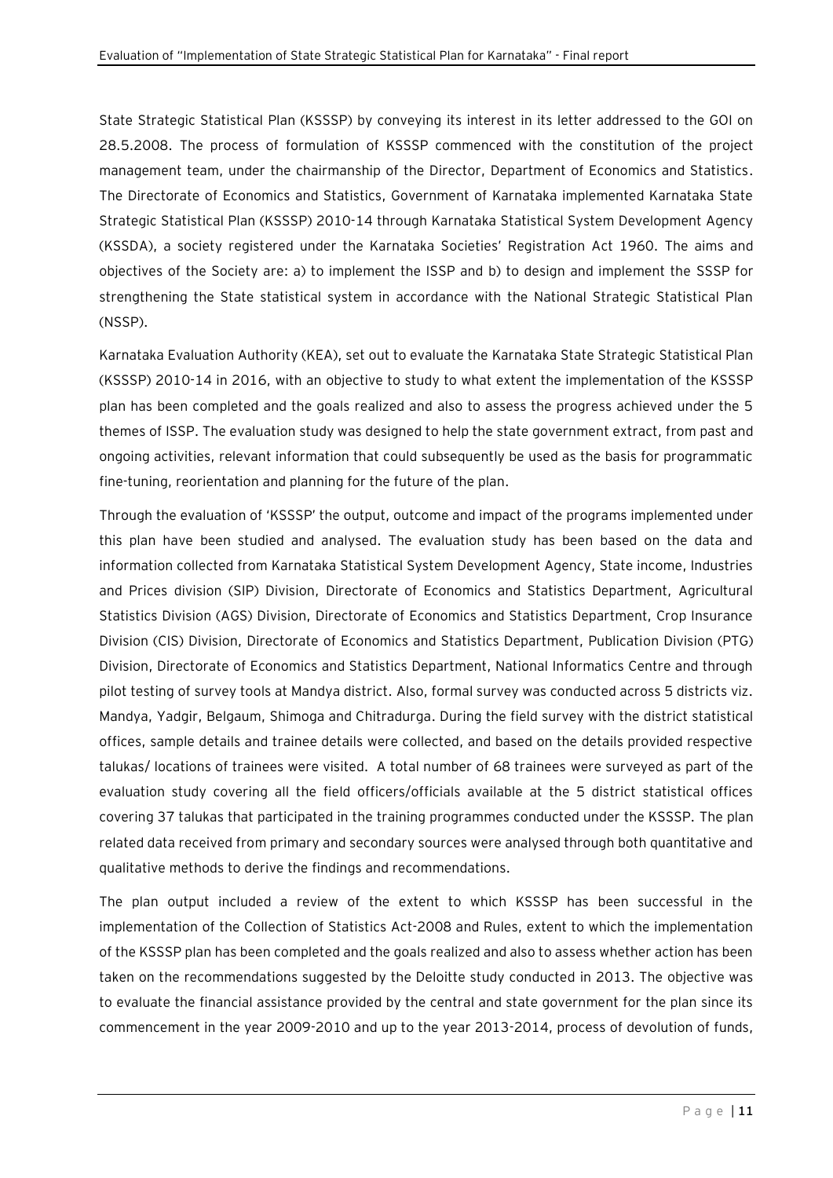State Strategic Statistical Plan (KSSSP) by conveying its interest in its letter addressed to the GOI on 28.5.2008. The process of formulation of KSSSP commenced with the constitution of the project management team, under the chairmanship of the Director, Department of Economics and Statistics. The Directorate of Economics and Statistics, Government of Karnataka implemented Karnataka State Strategic Statistical Plan (KSSSP) 2010-14 through Karnataka Statistical System Development Agency (KSSDA), a society registered under the Karnataka Societies' Registration Act 1960. The aims and objectives of the Society are: a) to implement the ISSP and b) to design and implement the SSSP for strengthening the State statistical system in accordance with the National Strategic Statistical Plan (NSSP).

Karnataka Evaluation Authority (KEA), set out to evaluate the Karnataka State Strategic Statistical Plan (KSSSP) 2010-14 in 2016, with an objective to study to what extent the implementation of the KSSSP plan has been completed and the goals realized and also to assess the progress achieved under the 5 themes of ISSP. The evaluation study was designed to help the state government extract, from past and ongoing activities, relevant information that could subsequently be used as the basis for programmatic fine-tuning, reorientation and planning for the future of the plan.

Through the evaluation of 'KSSSP' the output, outcome and impact of the programs implemented under this plan have been studied and analysed. The evaluation study has been based on the data and information collected from Karnataka Statistical System Development Agency, State income, Industries and Prices division (SIP) Division, Directorate of Economics and Statistics Department, Agricultural Statistics Division (AGS) Division, Directorate of Economics and Statistics Department, Crop Insurance Division (CIS) Division, Directorate of Economics and Statistics Department, Publication Division (PTG) Division, Directorate of Economics and Statistics Department, National Informatics Centre and through pilot testing of survey tools at Mandya district. Also, formal survey was conducted across 5 districts viz. Mandya, Yadgir, Belgaum, Shimoga and Chitradurga. During the field survey with the district statistical offices, sample details and trainee details were collected, and based on the details provided respective talukas/ locations of trainees were visited. A total number of 68 trainees were surveyed as part of the evaluation study covering all the field officers/officials available at the 5 district statistical offices covering 37 talukas that participated in the training programmes conducted under the KSSSP. The plan related data received from primary and secondary sources were analysed through both quantitative and qualitative methods to derive the findings and recommendations.

The plan output included a review of the extent to which KSSSP has been successful in the implementation of the Collection of Statistics Act-2008 and Rules, extent to which the implementation of the KSSSP plan has been completed and the goals realized and also to assess whether action has been taken on the recommendations suggested by the Deloitte study conducted in 2013. The objective was to evaluate the financial assistance provided by the central and state government for the plan since its commencement in the year 2009-2010 and up to the year 2013-2014, process of devolution of funds,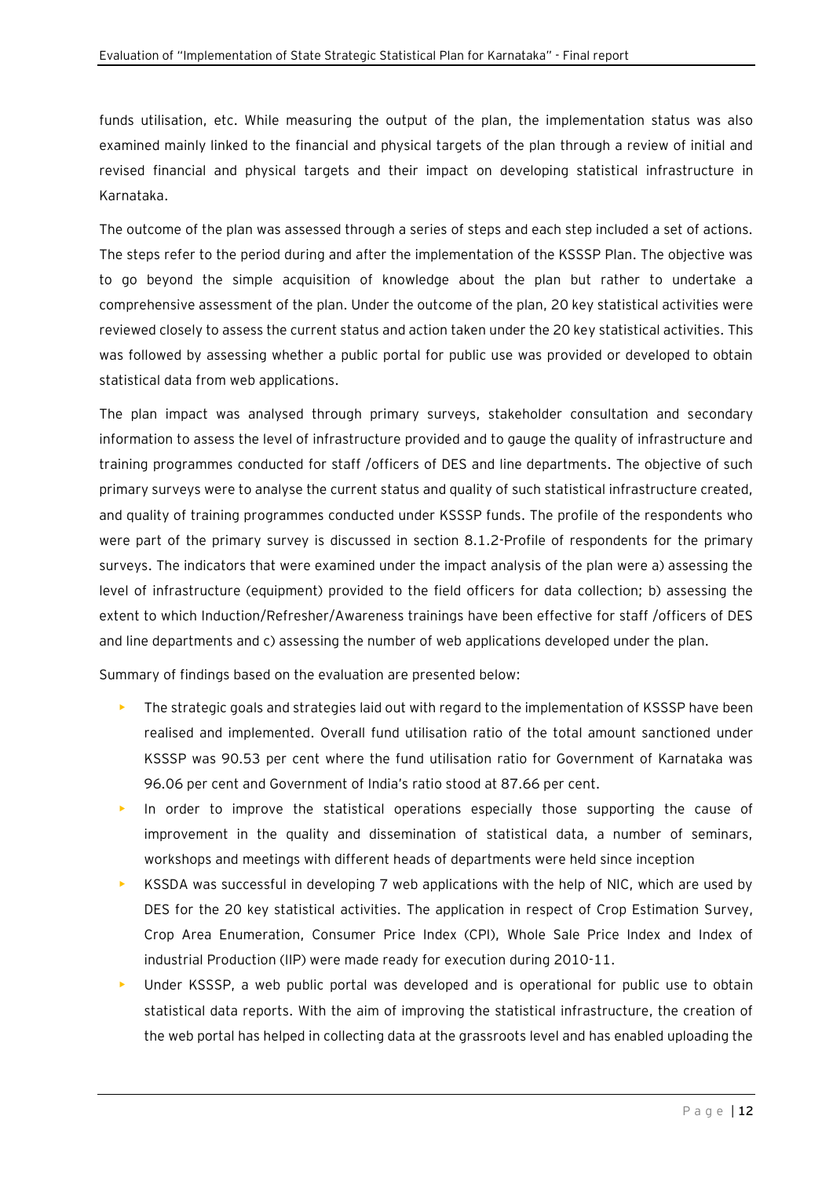funds utilisation, etc. While measuring the output of the plan, the implementation status was also examined mainly linked to the financial and physical targets of the plan through a review of initial and revised financial and physical targets and their impact on developing statistical infrastructure in Karnataka.

The outcome of the plan was assessed through a series of steps and each step included a set of actions. The steps refer to the period during and after the implementation of the KSSSP Plan. The objective was to go beyond the simple acquisition of knowledge about the plan but rather to undertake a comprehensive assessment of the plan. Under the outcome of the plan, 20 key statistical activities were reviewed closely to assess the current status and action taken under the 20 key statistical activities. This was followed by assessing whether a public portal for public use was provided or developed to obtain statistical data from web applications.

The plan impact was analysed through primary surveys, stakeholder consultation and secondary information to assess the level of infrastructure provided and to gauge the quality of infrastructure and training programmes conducted for staff /officers of DES and line departments. The objective of such primary surveys were to analyse the current status and quality of such statistical infrastructure created, and quality of training programmes conducted under KSSSP funds. The profile of the respondents who were part of the primary survey is discussed in section 8.1.2-Profile of respondents for the primary surveys. The indicators that were examined under the impact analysis of the plan were a) assessing the level of infrastructure (equipment) provided to the field officers for data collection; b) assessing the extent to which Induction/Refresher/Awareness trainings have been effective for staff /officers of DES and line departments and c) assessing the number of web applications developed under the plan.

Summary of findings based on the evaluation are presented below:

- **•** The strategic goals and strategies laid out with regard to the implementation of KSSSP have been realised and implemented. Overall fund utilisation ratio of the total amount sanctioned under KSSSP was 90.53 per cent where the fund utilisation ratio for Government of Karnataka was 96.06 per cent and Government of India's ratio stood at 87.66 per cent.
- In order to improve the statistical operations especially those supporting the cause of improvement in the quality and dissemination of statistical data, a number of seminars, workshops and meetings with different heads of departments were held since inception
- KSSDA was successful in developing 7 web applications with the help of NIC, which are used by DES for the 20 key statistical activities. The application in respect of Crop Estimation Survey, Crop Area Enumeration, Consumer Price Index (CPI), Whole Sale Price Index and Index of industrial Production (IIP) were made ready for execution during 2010-11.
- Under KSSSP, a web public portal was developed and is operational for public use to obtain statistical data reports. With the aim of improving the statistical infrastructure, the creation of the web portal has helped in collecting data at the grassroots level and has enabled uploading the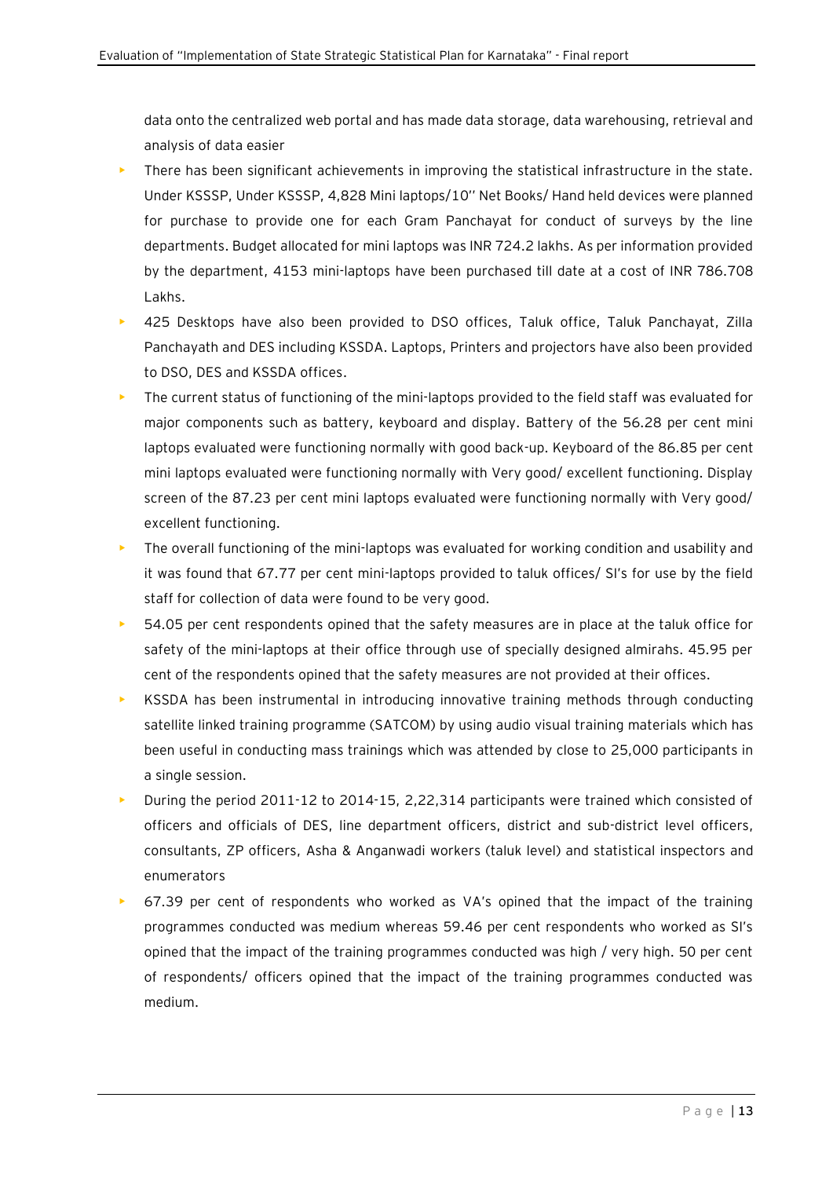data onto the centralized web portal and has made data storage, data warehousing, retrieval and analysis of data easier

- There has been significant achievements in improving the statistical infrastructure in the state. Under KSSSP, Under KSSSP, 4,828 Mini laptops/10'' Net Books/ Hand held devices were planned for purchase to provide one for each Gram Panchayat for conduct of surveys by the line departments. Budget allocated for mini laptops was INR 724.2 lakhs. As per information provided by the department, 4153 mini-laptops have been purchased till date at a cost of INR 786.708 Lakhs.
- 425 Desktops have also been provided to DSO offices, Taluk office, Taluk Panchayat, Zilla Panchayath and DES including KSSDA. Laptops, Printers and projectors have also been provided to DSO, DES and KSSDA offices.
- The current status of functioning of the mini-laptops provided to the field staff was evaluated for major components such as battery, keyboard and display. Battery of the 56.28 per cent mini laptops evaluated were functioning normally with good back-up. Keyboard of the 86.85 per cent mini laptops evaluated were functioning normally with Very good/ excellent functioning. Display screen of the 87.23 per cent mini laptops evaluated were functioning normally with Very good/ excellent functioning.
- The overall functioning of the mini-laptops was evaluated for working condition and usability and it was found that 67.77 per cent mini-laptops provided to taluk offices/ SI's for use by the field staff for collection of data were found to be very good.
- 54.05 per cent respondents opined that the safety measures are in place at the taluk office for safety of the mini-laptops at their office through use of specially designed almirahs. 45.95 per cent of the respondents opined that the safety measures are not provided at their offices.
- KSSDA has been instrumental in introducing innovative training methods through conducting satellite linked training programme (SATCOM) by using audio visual training materials which has been useful in conducting mass trainings which was attended by close to 25,000 participants in a single session.
- During the period 2011-12 to 2014-15, 2,22,314 participants were trained which consisted of officers and officials of DES, line department officers, district and sub-district level officers, consultants, ZP officers, Asha & Anganwadi workers (taluk level) and statistical inspectors and enumerators
- 67.39 per cent of respondents who worked as VA's opined that the impact of the training programmes conducted was medium whereas 59.46 per cent respondents who worked as SI's opined that the impact of the training programmes conducted was high / very high. 50 per cent of respondents/ officers opined that the impact of the training programmes conducted was medium.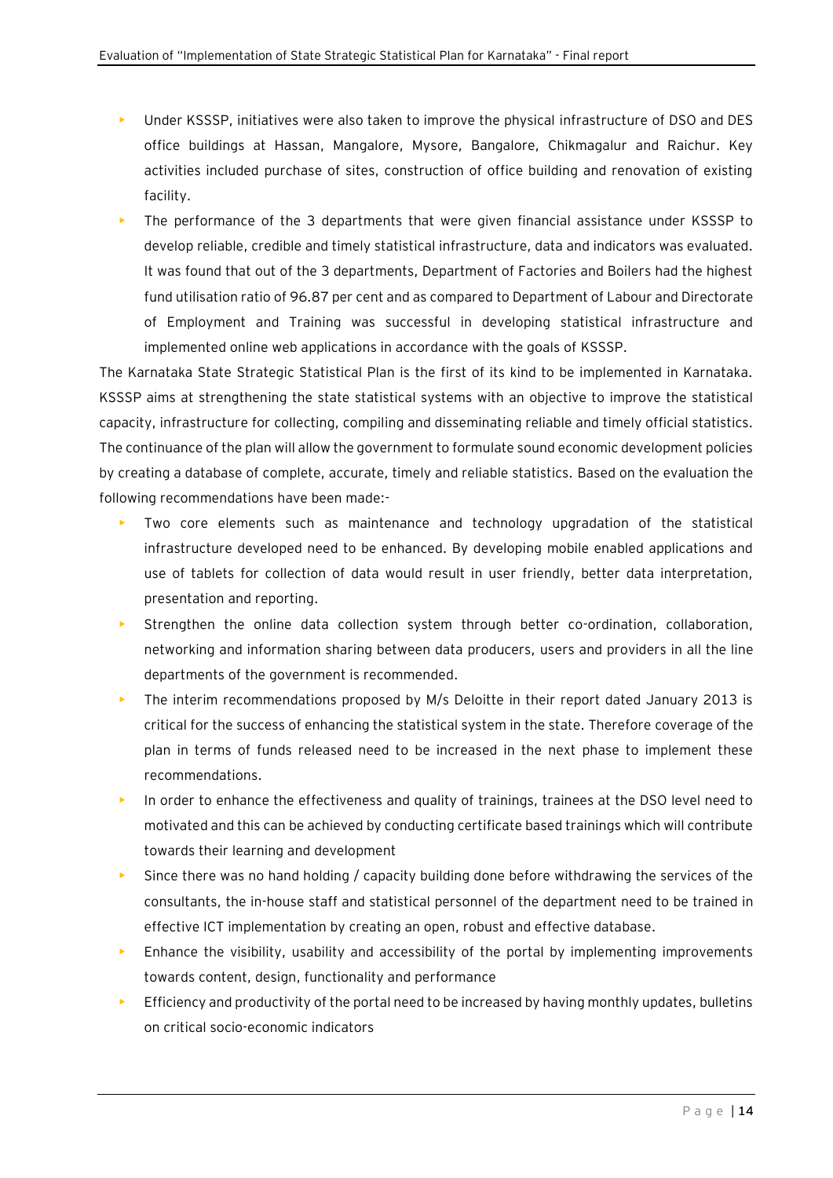- Under KSSSP, initiatives were also taken to improve the physical infrastructure of DSO and DES office buildings at Hassan, Mangalore, Mysore, Bangalore, Chikmagalur and Raichur. Key activities included purchase of sites, construction of office building and renovation of existing facility.
- The performance of the 3 departments that were given financial assistance under KSSSP to develop reliable, credible and timely statistical infrastructure, data and indicators was evaluated. It was found that out of the 3 departments, Department of Factories and Boilers had the highest fund utilisation ratio of 96.87 per cent and as compared to Department of Labour and Directorate of Employment and Training was successful in developing statistical infrastructure and implemented online web applications in accordance with the goals of KSSSP.

The Karnataka State Strategic Statistical Plan is the first of its kind to be implemented in Karnataka. KSSSP aims at strengthening the state statistical systems with an objective to improve the statistical capacity, infrastructure for collecting, compiling and disseminating reliable and timely official statistics. The continuance of the plan will allow the government to formulate sound economic development policies by creating a database of complete, accurate, timely and reliable statistics. Based on the evaluation the following recommendations have been made:-

- Two core elements such as maintenance and technology upgradation of the statistical infrastructure developed need to be enhanced. By developing mobile enabled applications and use of tablets for collection of data would result in user friendly, better data interpretation, presentation and reporting.
- Strengthen the online data collection system through better co-ordination, collaboration, networking and information sharing between data producers, users and providers in all the line departments of the government is recommended.
- The interim recommendations proposed by M/s Deloitte in their report dated January 2013 is critical for the success of enhancing the statistical system in the state. Therefore coverage of the plan in terms of funds released need to be increased in the next phase to implement these recommendations.
- In order to enhance the effectiveness and quality of trainings, trainees at the DSO level need to motivated and this can be achieved by conducting certificate based trainings which will contribute towards their learning and development
- $\blacktriangleright$  Since there was no hand holding / capacity building done before withdrawing the services of the consultants, the in-house staff and statistical personnel of the department need to be trained in effective ICT implementation by creating an open, robust and effective database.
- $\blacktriangleright$  Enhance the visibility, usability and accessibility of the portal by implementing improvements towards content, design, functionality and performance
- **•** Efficiency and productivity of the portal need to be increased by having monthly updates, bulletins on critical socio-economic indicators